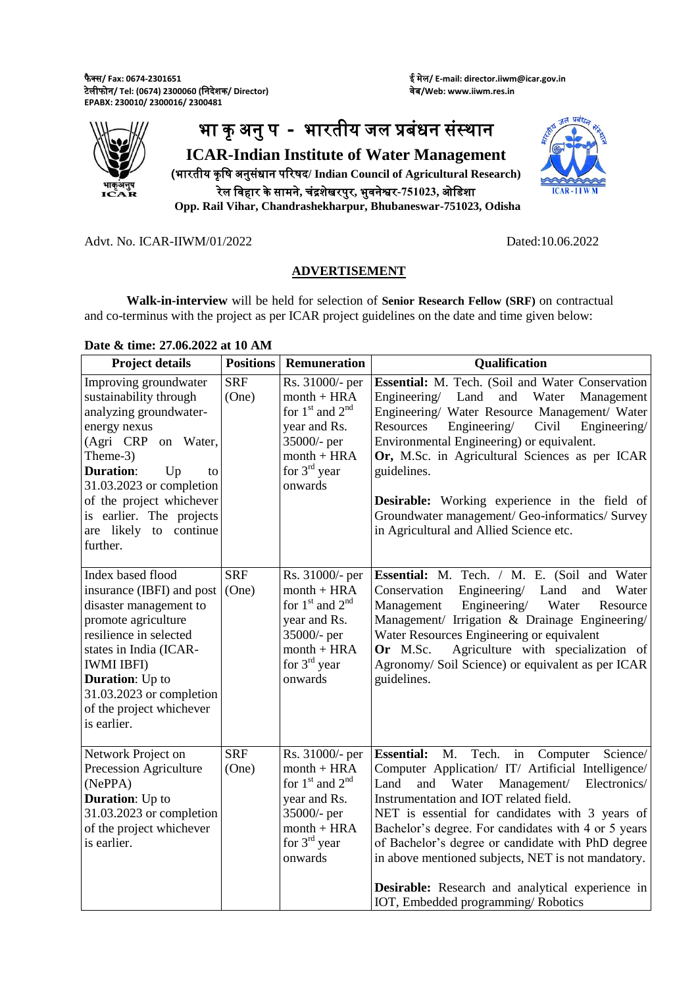फै क्स**/ Fax: 0674-2301651** टेलीफोन**/ Tel: (0674) 2300060 (**ननदेशक**/ Director) EPABX: 230010/ 2300016/ 2300481**

ई मेल**/ E-mail: director.iiwm@icar.gov.in** वेब**/Web: www.iiwm.res.in**



 $ICAR - III$ 

**Opp. Rail Vihar, Chandrashekharpur, Bhubaneswar-751023, Odisha**

Advt. No. ICAR-IIWM/01/2022 Dated:10.06.2022

## **ADVERTISEMENT**

**Walk-in-interview** will be held for selection of **Senior Research Fellow (SRF)** on contractual and co-terminus with the project as per ICAR project guidelines on the date and time given below:

## **Date & time: 27.06.2022 at 10 AM**

| <b>Project details</b>                                                                                                                                                                                                                                                                    | <b>Positions</b>    | <b>Remuneration</b>                                                                                                                  | Qualification                                                                                                                                                                                                                                                                                                                                                                                                                                                                                                                     |
|-------------------------------------------------------------------------------------------------------------------------------------------------------------------------------------------------------------------------------------------------------------------------------------------|---------------------|--------------------------------------------------------------------------------------------------------------------------------------|-----------------------------------------------------------------------------------------------------------------------------------------------------------------------------------------------------------------------------------------------------------------------------------------------------------------------------------------------------------------------------------------------------------------------------------------------------------------------------------------------------------------------------------|
| Improving groundwater<br>sustainability through<br>analyzing groundwater-<br>energy nexus<br>(Agri CRP<br>on Water,<br>Theme-3)<br><b>Duration:</b><br>Up<br>to<br>31.03.2023 or completion<br>of the project whichever<br>is earlier. The projects<br>are likely to continue<br>further. | <b>SRF</b><br>(One) | Rs. 31000/- per<br>$month + HRA$<br>for $1st$ and $2nd$<br>year and Rs.<br>35000/- per<br>$month + HRA$<br>for $3rd$ year<br>onwards | Essential: M. Tech. (Soil and Water Conservation<br>Engineering/ Land and Water<br>Management<br>Engineering/ Water Resource Management/ Water<br>Engineering/<br>Resources<br>Civil<br>Engineering/<br>Environmental Engineering) or equivalent.<br>Or, M.Sc. in Agricultural Sciences as per ICAR<br>guidelines.<br><b>Desirable:</b> Working experience in the field of<br>Groundwater management/ Geo-informatics/ Survey<br>in Agricultural and Allied Science etc.                                                          |
| Index based flood<br>insurance (IBFI) and post<br>disaster management to<br>promote agriculture<br>resilience in selected<br>states in India (ICAR-<br><b>IWMI IBFI)</b><br><b>Duration:</b> Up to<br>31.03.2023 or completion<br>of the project whichever<br>is earlier.                 | <b>SRF</b><br>(One) | Rs. 31000/- per<br>$month + HRA$<br>for $1st$ and $2nd$<br>year and Rs.<br>35000/- per<br>$month + HRA$<br>for $3rd$ year<br>onwards | Essential: M. Tech. / M. E. (Soil and Water<br>Engineering/<br>Conservation<br>Land<br>and<br>Water<br>Engineering/<br>Management<br>Water<br>Resource<br>Management/ Irrigation & Drainage Engineering/<br>Water Resources Engineering or equivalent<br>Agriculture with specialization of<br>Or M.Sc.<br>Agronomy/Soil Science) or equivalent as per ICAR<br>guidelines.                                                                                                                                                        |
| Network Project on<br>Precession Agriculture<br>(NePPA)<br><b>Duration:</b> Up to<br>31.03.2023 or completion<br>of the project whichever<br>is earlier.                                                                                                                                  | <b>SRF</b><br>(One) | Rs. 31000/- per<br>$month + HRA$<br>for $1st$ and $2nd$<br>year and Rs.<br>35000/- per<br>$month + HRA$<br>for $3rd$ year<br>onwards | Tech.<br><b>Essential:</b> M.<br>in<br>Science/<br>Computer<br>Computer Application/ IT/ Artificial Intelligence/<br>Land<br>and<br>Water<br>Management/<br>Electronics/<br>Instrumentation and IOT related field.<br>NET is essential for candidates with 3 years of<br>Bachelor's degree. For candidates with 4 or 5 years<br>of Bachelor's degree or candidate with PhD degree<br>in above mentioned subjects, NET is not mandatory.<br>Desirable: Research and analytical experience in<br>IOT, Embedded programming/Robotics |